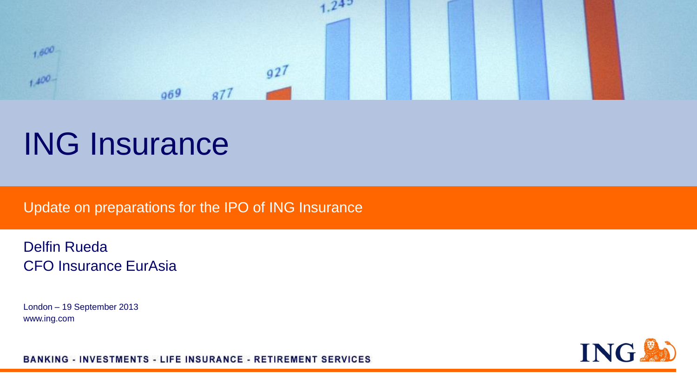

# ING Insurance

Update on preparations for the IPO of ING Insurance

Delfin Rueda CFO Insurance EurAsia

London – 19 September 2013 www.ing.com



BANKING - INVESTMENTS - LIFE INSURANCE - RETIREMENT SERVICES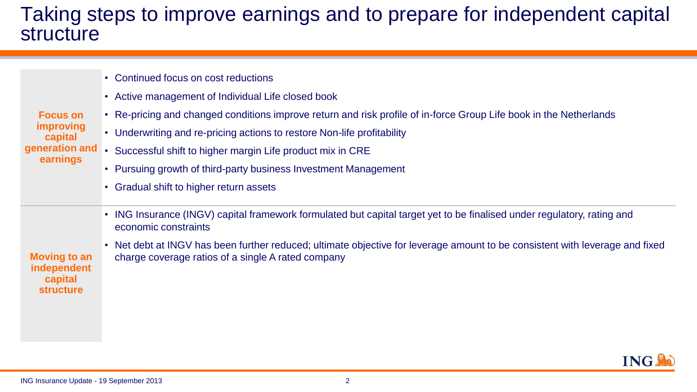### Taking steps to improve earnings and to prepare for independent capital structure

|  | • Continued focus on cost reductions |  |  |  |  |
|--|--------------------------------------|--|--|--|--|
|--|--------------------------------------|--|--|--|--|

- Active management of Individual Life closed book
- **Focus on**  • Re-pricing and changed conditions improve return and risk profile of in-force Group Life book in the Netherlands
	- Underwriting and re-pricing actions to restore Non-life profitability
- **generation and earnings** • Successful shift to higher margin Life product mix in CRE
	- Pursuing growth of third-party business Investment Management
	- Gradual shift to higher return assets
	- ING Insurance (INGV) capital framework formulated but capital target yet to be finalised under regulatory, rating and economic constraints
- **Moving to an independent**  • Net debt at INGV has been further reduced; ultimate objective for leverage amount to be consistent with leverage and fixed charge coverage ratios of a single A rated company



**improving capital** 

**capital structure**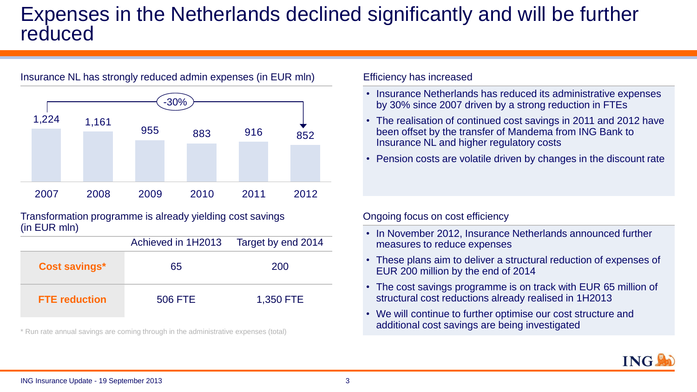# Expenses in the Netherlands declined significantly and will be further reduced



Insurance NL has strongly reduced admin expenses (in EUR mln)

#### Transformation programme is already yielding cost savings (in EUR mln)

|                      | Achieved in 1H2013 | Target by end 2014 |
|----------------------|--------------------|--------------------|
| <b>Cost savings*</b> | 65                 | 200                |
| <b>FTE</b> reduction | 506 FTE            | 1,350 FTE          |

\* Run rate annual savings are coming through in the administrative expenses (total)

#### Efficiency has increased

- Insurance Netherlands has reduced its administrative expenses by 30% since 2007 driven by a strong reduction in FTEs
- The realisation of continued cost savings in 2011 and 2012 have been offset by the transfer of Mandema from ING Bank to Insurance NL and higher regulatory costs
- Pension costs are volatile driven by changes in the discount rate

#### Ongoing focus on cost efficiency

- In November 2012, Insurance Netherlands announced further measures to reduce expenses
- These plans aim to deliver a structural reduction of expenses of EUR 200 million by the end of 2014
- The cost savings programme is on track with EUR 65 million of structural cost reductions already realised in 1H2013
- We will continue to further optimise our cost structure and additional cost savings are being investigated

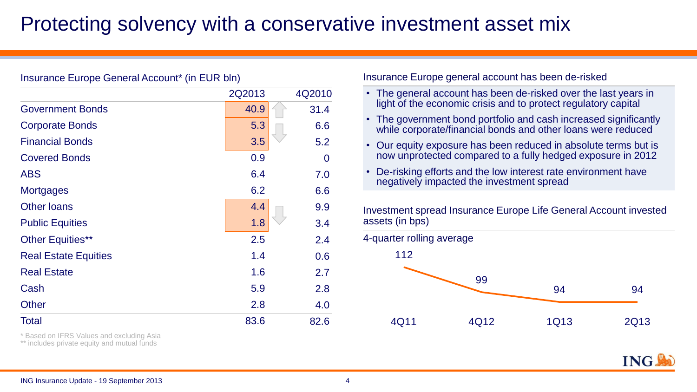# Protecting solvency with a conservative investment asset mix

### Insurance Europe General Account\* (in EUR bln)

|                             | 2Q2013 | 4Q2010 |
|-----------------------------|--------|--------|
| <b>Government Bonds</b>     | 40.9   | 31.4   |
| <b>Corporate Bonds</b>      | 5.3    | 6.6    |
| <b>Financial Bonds</b>      | 3.5    | 5.2    |
| <b>Covered Bonds</b>        | 0.9    | 0      |
| <b>ABS</b>                  | 6.4    | 7.0    |
| <b>Mortgages</b>            | 6.2    | 6.6    |
| <b>Other loans</b>          | 4.4    | 9.9    |
| <b>Public Equities</b>      | 1.8    | 3.4    |
| <b>Other Equities**</b>     | 2.5    | 2.4    |
| <b>Real Estate Equities</b> | 1.4    | 0.6    |
| <b>Real Estate</b>          | 1.6    | 2.7    |
| Cash                        | 5.9    | 2.8    |
| <b>Other</b>                | 2.8    | 4.0    |
| <b>Total</b>                | 83.6   | 82.6   |

\* Based on IFRS Values and excluding Asia

\*\* includes private equity and mutual funds

Insurance Europe general account has been de-risked

- The general account has been de-risked over the last years in light of the economic crisis and to protect regulatory capital
- The government bond portfolio and cash increased significantly while corporate/financial bonds and other loans were reduced
- Our equity exposure has been reduced in absolute terms but is now unprotected compared to a fully hedged exposure in 2012
- De-risking efforts and the low interest rate environment have negatively impacted the investment spread

Investment spread Insurance Europe Life General Account invested assets (in bps)



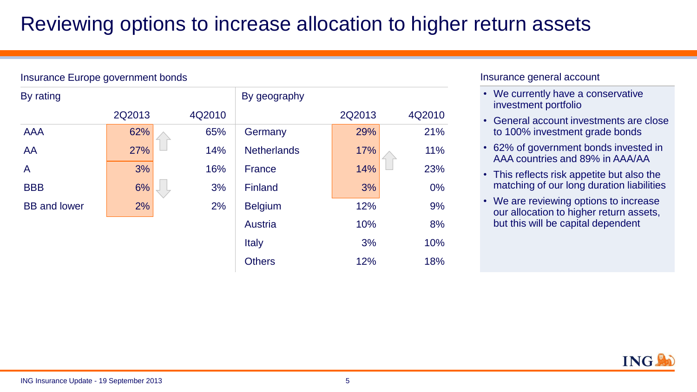# Reviewing options to increase allocation to higher return assets

#### Insurance Europe government bonds

| By rating           |        |        | By geography       |        |        |
|---------------------|--------|--------|--------------------|--------|--------|
|                     | 2Q2013 | 4Q2010 |                    | 2Q2013 | 4Q2010 |
| <b>AAA</b>          | 62%    | 65%    | Germany            | 29%    | 21%    |
| AA                  | 27%    | 14%    | <b>Netherlands</b> | 17%    | 11%    |
| A                   | 3%     | 16%    | <b>France</b>      | 14%    | 23%    |
| <b>BBB</b>          | 6%     | 3%     | <b>Finland</b>     | 3%     | $0\%$  |
| <b>BB</b> and lower | 2%     | 2%     | <b>Belgium</b>     | 12%    | 9%     |
|                     |        |        | Austria            | 10%    | 8%     |
|                     |        |        | Italy              | 3%     | 10%    |
|                     |        |        | <b>Others</b>      | 12%    | 18%    |

### Insurance general account

- We currently have a conservative investment portfolio
- General account investments are close to 100% investment grade bonds
- 62% of government bonds invested in AAA countries and 89% in AAA/AA
- This reflects risk appetite but also the matching of our long duration liabilities
- We are reviewing options to increase our allocation to higher return assets, but this will be capital dependent

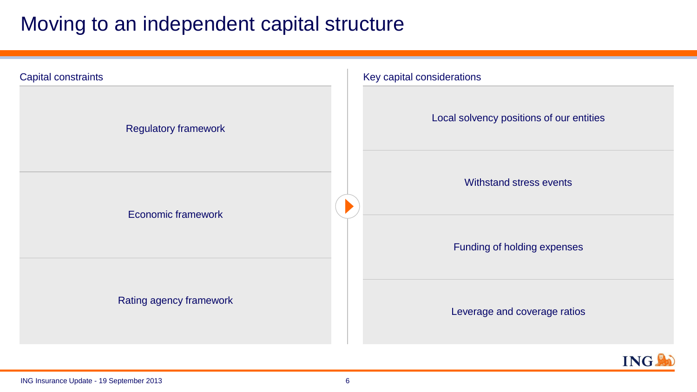# Moving to an independent capital structure



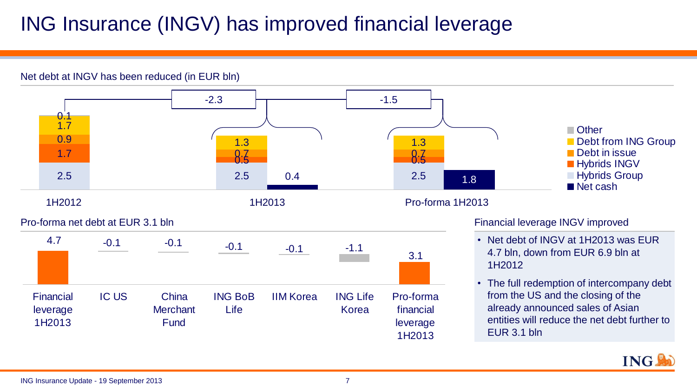# ING Insurance (INGV) has improved financial leverage

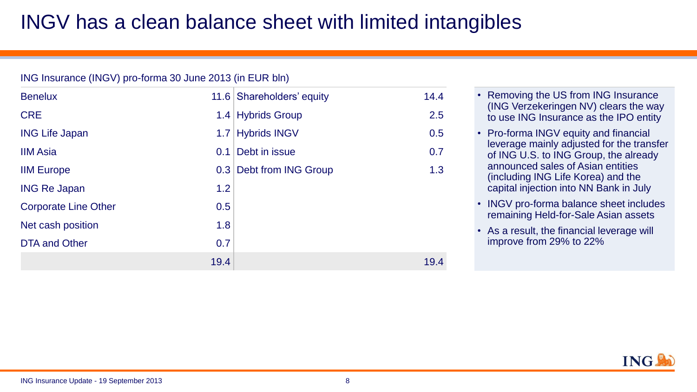# INGV has a clean balance sheet with limited intangibles

### ING Insurance (INGV) pro-forma 30 June 2013 (in EUR bln)

| <b>Benelux</b>              |      | 11.6 Shareholders' equity | 14.4 |
|-----------------------------|------|---------------------------|------|
| <b>CRE</b>                  |      | 1.4 Hybrids Group         | 2.5  |
| <b>ING Life Japan</b>       | 1.7  | <b>Hybrids INGV</b>       | 0.5  |
| <b>IIM Asia</b>             | 0.1  | Debt in issue             | 0.7  |
| <b>IIM Europe</b>           |      | 0.3 Debt from ING Group   | 1.3  |
| <b>ING Re Japan</b>         | 1.2  |                           |      |
| <b>Corporate Line Other</b> | 0.5  |                           |      |
| Net cash position           | 1.8  |                           |      |
| <b>DTA and Other</b>        | 0.7  |                           |      |
|                             | 19.4 |                           | 19.4 |

- Removing the US from ING Insurance (ING Verzekeringen NV) clears the way to use ING Insurance as the IPO entity
- Pro-forma INGV equity and financial leverage mainly adjusted for the transfer of ING U.S. to ING Group, the already announced sales of Asian entities (including ING Life Korea) and the capital injection into NN Bank in July
- INGV pro-forma balance sheet includes remaining Held-for-Sale Asian assets
- As a result, the financial leverage will improve from 29% to 22%

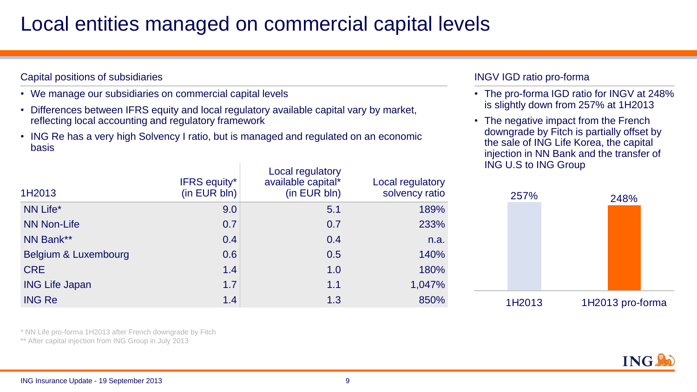### Local entities managed on commercial capital levels

### Capital positions of subsidiaries

- We manage our subsidiaries on commercial capital levels
- Differences between IFRS equity and local regulatory available capital vary by market, reflecting local accounting and regulatory framework
- ING Re has a very high Solvency I ratio, but is managed and regulated on an economic basis

| 1H2013                | <b>IFRS equity*</b><br>(in EUR bln) | <b>Local regulatory</b><br>available capital*<br>(in EUR bln) | Local regulatory<br>solvency ratio |
|-----------------------|-------------------------------------|---------------------------------------------------------------|------------------------------------|
| NN Life*              | 9.0                                 | 5.1                                                           | 189%                               |
| NN Non-Life           | 0.7                                 | 0.7                                                           | 233%                               |
| NN Bank**             | 0.4                                 | 0.4                                                           | n.a.                               |
| Belgium & Luxembourg  | 0.6                                 | 0.5                                                           | 140%                               |
| <b>CRE</b>            | 1.4                                 | 1.0                                                           | 180%                               |
| <b>ING Life Japan</b> | 1.7                                 | 1.1                                                           | 1,047%                             |
| <b>ING Re</b>         | 1.4                                 | 1.3                                                           | 850%                               |

\* NN Life pro-forma 1H2013 after French downgrade by Fitch

\*\* After capital injection from ING Group in July 2013

### INGV IGD ratio pro-forma

- The pro-forma IGD ratio for INGV at 248% is slightly down from 257% at 1H2013
- The negative impact from the French downgrade by Fitch is partially offset by the sale of ING Life Korea, the capital injection in NN Bank and the transfer of ING U.S to ING Group



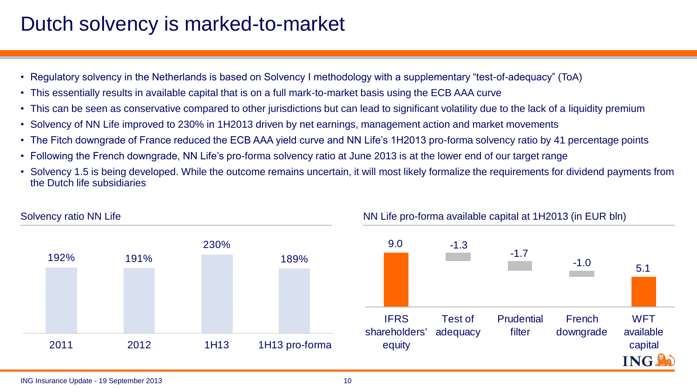# Dutch solvency is marked-to-market

- Regulatory solvency in the Netherlands is based on Solvency I methodology with a supplementary "test-of-adequacy" (ToA)
- This essentially results in available capital that is on a full mark-to-market basis using the ECB AAA curve
- This can be seen as conservative compared to other jurisdictions but can lead to significant volatility due to the lack of a liquidity premium
- Solvency of NN Life improved to 230% in 1H2013 driven by net earnings, management action and market movements
- The Fitch downgrade of France reduced the ECB AAA yield curve and NN Life's 1H2013 pro-forma solvency ratio by 41 percentage points
- Following the French downgrade, NN Life's pro-forma solvency ratio at June 2013 is at the lower end of our target range
- Solvency 1.5 is being developed. While the outcome remains uncertain, it will most likely formalize the requirements for dividend payments from the Dutch life subsidiaries



### Solvency ratio NN Life **NN Life 2004** NN Life pro-forma available capital at 1H2013 (in EUR bln)

#### ING Insurance Update - 19 September 2013 10 and 10 and 10 and 10 and 10 and 10 and 10 and 10 and 10 and 10 and 10 and 10 and 10 and 10 and 10 and 10 and 10 and 10 and 10 and 10 and 10 and 10 and 10 and 10 and 10 and 10 and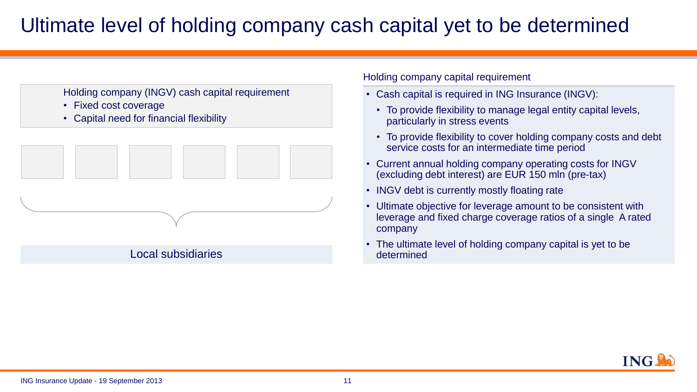# Ultimate level of holding company cash capital yet to be determined



- Fixed cost coverage
- Capital need for financial flexibility



Holding company capital requirement

- Cash capital is required in ING Insurance (INGV):
	- To provide flexibility to manage legal entity capital levels, particularly in stress events
	- To provide flexibility to cover holding company costs and debt service costs for an intermediate time period
- Current annual holding company operating costs for INGV (excluding debt interest) are EUR 150 mln (pre-tax)
- INGV debt is currently mostly floating rate
- Ultimate objective for leverage amount to be consistent with leverage and fixed charge coverage ratios of a single A rated company
- The ultimate level of holding company capital is yet to be determined

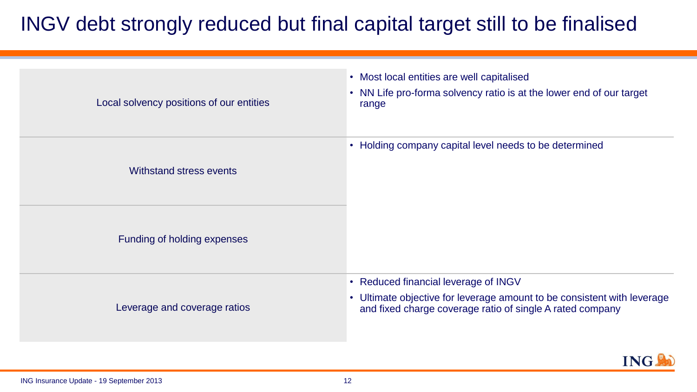# INGV debt strongly reduced but final capital target still to be finalised

| Local solvency positions of our entities | • Most local entities are well capitalised<br>• NN Life pro-forma solvency ratio is at the lower end of our target<br>range                                                  |
|------------------------------------------|------------------------------------------------------------------------------------------------------------------------------------------------------------------------------|
| Withstand stress events                  | • Holding company capital level needs to be determined                                                                                                                       |
| Funding of holding expenses              |                                                                                                                                                                              |
| Leverage and coverage ratios             | • Reduced financial leverage of INGV<br>• Ultimate objective for leverage amount to be consistent with leverage<br>and fixed charge coverage ratio of single A rated company |

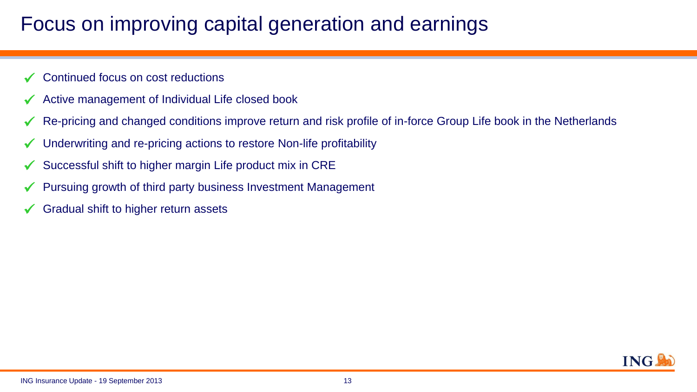# Focus on improving capital generation and earnings.

- Continued focus on cost reductions
- $\checkmark$  Active management of Individual Life closed book
- Re-pricing and changed conditions improve return and risk profile of in-force Group Life book in the Netherlands
- Underwriting and re-pricing actions to restore Non-life profitability
- $\checkmark$  Successful shift to higher margin Life product mix in CRE
- $\checkmark$  Pursuing growth of third party business Investment Management
- Gradual shift to higher return assets